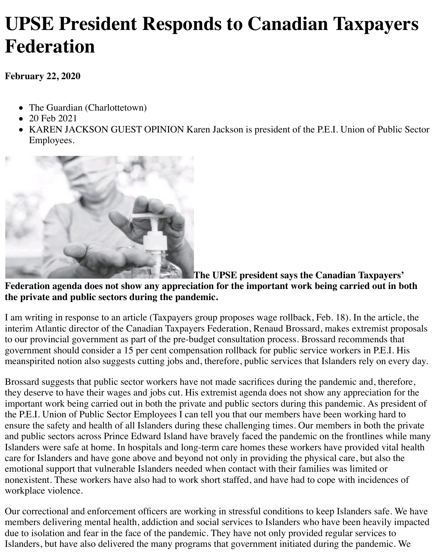## **UPSE President Responds to Canadian Taxpayers Federation**

**February 22, 2020**

- The Guardian (Charlottetown)
- 20 Feb 2021
- KAREN JACKSON GUEST OPINION Karen Jackson is president of the P.E.I. Union of Public Sector Employees.



**The UPSE president says the Canadian Taxpayers' Federation agenda does not show any appreciation for the important work being carried out in both the private and public sectors during the pandemic.**

I am writing in response to an article (Taxpayers group proposes wage rollback, Feb. 18). In the article, the interim Atlantic director of the Canadian Taxpayers Federation, Renaud Brossard, makes extremist proposals to our provincial government as part of the pre-budget consultation process. Brossard recommends that government should consider a 15 per cent compensation rollback for public service workers in P.E.I. His meanspirited notion also suggests cutting jobs and, therefore, public services that Islanders rely on every day.

Brossard suggests that public sector workers have not made sacrifices during the pandemic and, therefore, they deserve to have their wages and jobs cut. His extremist agenda does not show any appreciation for the important work being carried out in both the private and public sectors during this pandemic. As president of the P.E.I. Union of Public Sector Employees I can tell you that our members have been working hard to ensure the safety and health of all Islanders during these challenging times. Our members in both the private and public sectors across Prince Edward Island have bravely faced the pandemic on the frontlines while many Islanders were safe at home. In hospitals and long-term care homes these workers have provided vital health care for Islanders and have gone above and beyond not only in providing the physical care, but also the emotional support that vulnerable Islanders needed when contact with their families was limited or nonexistent. These workers have also had to work short staffed, and have had to cope with incidences of workplace violence.

Our correctional and enforcement officers are working in stressful conditions to keep Islanders safe. We have members delivering mental health, addiction and social services to Islanders who have been heavily impacted due to isolation and fear in the face of the pandemic. They have not only provided regular services to Islanders, but have also delivered the many programs that government initiated during the pandemic. We